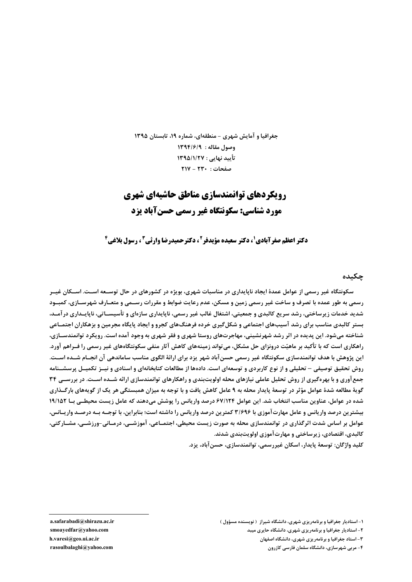جغرافیا و آمایش شهری - منطقهای، شماره ۱۹، تابستان ۱۳۹۵ وصول مقاله : ١٣٩٤/٦٩ تأييد نهايي : ١٣٩۵/١/٢٧  $\mathsf{YIV}-\mathsf{YY}\cdot$ : صفحات

# **رویکردهای توانمندسازی مناطق حاشیهای شهری** مورد شناسي: سكونتگاه غير رسمي حسن آياد بزد

**دکتر اعظم صفرآبادی'، دکتر سعیده مؤیدفر<sup>2</sup>، دکتر حمیدرضا وارثی<sup>2</sup> ، رسول بلاغی<sup>6</sup>** 

#### جكىدە

سکونتگاه غیر رسمی از عوامل عمدهٔ ایجاد ناپایداری در مناسبات شهری، بویژه در کشورهای در حال توسـعه اسـت. اسـکان غیــر رسمی به طور عمده با تصرف و ساخت غیر رسمی زمین و مسکن، عدم رعایت ضوابط و مقررات رســمی و متعـارف شهرســازی، کمبــود شدید خدمات زیرساختی، رشد سریع کالبدی و جمعیتی، اشتغال غالب غیر رسمی، ناپایداری سازهای و تأسیســاتی، ناپایــداری درآمــد، بستر کالبدی مناسب برای رشد آسیبهای اجتماعی و شکلگیری خرده فرهنگهای کجرو و ایجاد پایگاه مجرمین و بزهکاران اجتمـاعی شناخته میشود. این پدیده در اثر رشد شهرنشینی، مهاجرتهای روستا شهری و فقر شهری به وجود آمده است. رویکرد توانمندســازی، راهکاری است که با تأکید بر ماهیّت درونزای حل مشکل، می تواند زمینههای کاهش آثار منفی سکونتگاههای غیر رسمی را فـراهم آورد. این پژوهش با هدف توانمندسازی سکونتگاه غیر رسمی حسن آباد شهر یزد برای ارائهٔ الگوی مناسب ساماندهی آن انجـام شــده اســت. روش تحقیق توصیفی – تحلیلی و از نوع کاربردی و توسعهای است. دادهها از مطالعات کتابخانهای و اسنادی و نیــز تکمیــل پرسشــنامه جمع آوری و با بهرهگیری از روش تحلیل عاملی نیازهای محله اولویتبندی و راهکارهای توانمندسازی ارائه شـده اسـت. در بررسـی ۳۴ گویهٔ مطالعه شدهٔ عوامل مؤثر در توسعهٔ پایدار محله به ۹ عامل کاهش یافت و با توجه به میزان همبستگی هر یک از گویههای بارگــذاری شده در عوامل، عناوین مناسب انتخاب شد. این عوامل ۶۷/۱۲۴ درصد واریانس را پوشش میدهند که عامل زیست محیطے بـا ۱۹/۱۵۲ بیشترین درصد واریانس و عامل مهارتآموزی با ۳/۶۹۶ کمترین درصد واریانس را داشته است؛ بنابراین، با توجــه بــه درصــد واریــانس، عوامل بر اساس شدت اثرگذاری در توانمندسازی محله به صورت زیست محیطی، اجتمـاعی، آموزشــی، درمـانی-ورزشــی، مشــاركتی، کالېدي، اقتصادي، زيرساختي و مهارت آموزي اولويتېندي شدند.

كليد واژگان: توسعهٔ پايدار، اسكان غيررسمي، توانمندسازي، حسن آباد، يزد.

a.safarabadi@shirazu.ac.ir smoayedfar@yahoo.com h.varesi@geo.ui.ac.ir rasoulbalaghi@yahoo.com

۱- استادیار جغرافیا و برنامهریزی شهری، دانشگاه شیراز ( نویسنده مسؤول )

۲- استادیار جغرافیا و برنامهریزی شهری، دانشگاه حایری میبد

۳- استاد جغرافیا و برنامهریزی شهری، دانشگاه اصفهان

۴- مربی شهرسازی، دانشگاه سلمان فارسی کازرون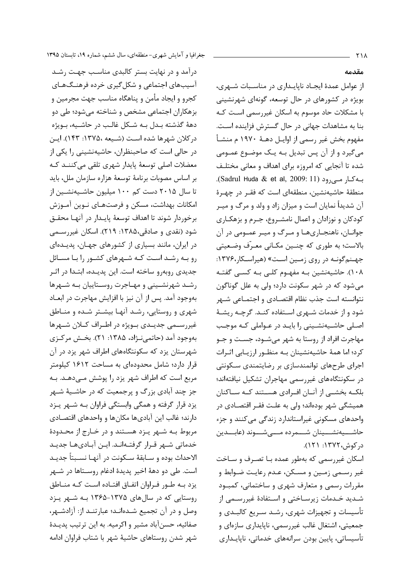درآمد و در نهایت بستر کالبدی مناسب جهت رشـد آسیبهای اجتماعی و شکل گیری خرده فرهنگهای كجرو و ايجاد مأمن و پناهگاه مناسب جهت مجرمين و بزهکاران اجتماعی مشخص و شناخته میشود؛ طی دو دههٔ گذشته بـدل بـه شـکل غالـب در حاشـیه، بـویژه در كلان شهرها شده است (شـيعه ،١٣٧۵: ١۴٣). ايـن در حالی است که صاحبنظران، حاشیهنشینی را یکی از معضلات اصلی توسعهٔ پایدار شهری تلقی می کننـد کـه بر اساس مصوبات برنامة توسعة هزاره سازمان ملل، بايد تا سال ۲۰۱۵ دست کم ۱۰۰ میلیون حاشـیـهنشـین از امکانات بهداشت، مسکن و فرصتهـای نـوین آمـوزش برخوردار شوند تا اهداف توسعهٔ پایـدار در آنهـا محقـق شود (نقدی و صادقی،۱۳۸۵: ۲۱۹). اسکان غیررسـمی در ایران، مانند بسیاری از کشورهای جهـان، پدیـدهای رو بـه رشـد اسـت كـه شـهرهای كشـور را بـا مسـائل جدیدی روبهرو ساخته است. این پدیـده، ابتـدا در اثـر رشـد شهرنشـینی و مهـاجرت روسـتاییان بـه شـهرها بهوجود آمد. پس از آن نیز با افزایش مهاجرت در ابعــاد شهری و روستایی، رشـد آنهـا بیشـتر شـده و منـاطق غیررسـمی جدیــدی بــویژه در اطــراف کــلان شــهرها بهوجود آمد (حاتمي نـژاد، ۱۳۸۵: ۲۱). بخـش مركـزى شهرستان یزد که سکونتگاههای اطراف شهر یزد در آن قرار دارد؛ شامل محدودهای به مساحت ۱۶۱۲ کیلومتر مربع است که اطراف شهر یزد را پوشش مے دهـد. بـه جز چند آبادی بزرگ و پرجمعیت که در حاشـیهٔ شـهر یزد قرار گرفته و همگی وابستگی فراوان بـه شـهر پـزد دارند؛ غالب این آبادیها مکانها و واحدهای اقتصادی مربوط بـه شـهر يـزد هسـتند و در خـارج از محـدودهٔ خدماتی شـهر قـرار گرفتـهانـد. ایـن آبـادیهـا جدیـد الاحداث بوده و سـابقهٔ سـكونت در آنهـا نسـبتاً جديـد است. طي دو دههٔ اخير پديدهٔ ادغام روسـتاها در شـهر یزد بـه طـور فـراوان اتفـاق افتـاده اسـت كـه منـاطق روستایی که در سالهای ۱۳۷۵-۱۳۶۵ بـه شـهر پـزد وصل و در آن تجمیع شـدهانـد؛ عبارتنـد از: آزادشـهر، صفائيه، حسنآباد مشير و اكرميه. به اين ترتيب پديـدهٔ شهر شدن روستاهای حاشیهٔ شهر با شتاب فراوان ادامه

### مقدمه

از عوامل عمدهٔ ایجاد ناپایـداری در مناسـبات شـهری، بویژه در کشورهای در حال توسعه، گونهای شهرنشینی با مشکلات حاد موسوم به اسکان غیررسمی اسـت کـه بنا به مشاهدات جهانی در حال گسترش فزاینده اسـت. مفهوم بخش غير رسمي از اوايـل دهـهٔ ١٩٧٠ م منشـأ می گیرد و از آن پس تبدیل بـه یـک موضـوع عمـومی شده تا آنجایی که امروزه برای اهداف و معانی مختلـف بـه كـار مـى رود (Sadrul Huda & et al, 2009: 11). منطقهٔ حاشیهنشین، منطقهای است که فقـر در چهـرهٔ آن شدیداً نمایان است و میزان زاد و ولد و مرگ و میـر کودکان و نوزادان و اعمال نامشـروع، جـرم و بزهکـاری جوانان، ناهنجاريها و مرگ و مير عمـومي در آن بالاست؛ به طوری که چنـین مکـانی معـرّف وضـعیتی جهنم گونـه در روی زمـین اسـت» (هیراسـكار،۱۳۷۶: ۱۰۸). حاشیهنشین بـه مفهـوم کلـی بـه کسـی گفتـه می شود که در شهر سکونت دارد؛ ولی به علل گوناگون نتوانسته است جذب نظام اقتصـادي و اجتمــاعي شــهر شود و از خدمات شـهری اسـتفاده کنـد. گرچـه ریشـهٔ اصلی حاشیهنشینی را باید در عـواملی کـه موجـب مهاجرت افراد از روستا به شهر میشـود، جسـت و جـو كرد؛ اما همهٔ حاشیهنشینان بـه منظـور ارزیـابی اثـرات اجرای طرحهای توانمندسازی بر رضایتمندی سکونتی در سکونتگاههای غیررسمی مهاجران تشکیل نیافتهاند؛ بلکــه بخشــی از آنــان افــرادی هســتند کــه ســاکنان همیشگی شهر بودهاند؛ ولی به علت فقـر اقتصـادی در واحدهای مسکونی غیراستاندارد زندگی می کنند و جزء حاشـــيەنشـــينان شـــمرده مـــىشـــوند (عابـــدين در کوش، ۱۳۷۲: ۱۲۱).

اسکان غیررسمی که بهطور عمده بـا تصـرف و سـاخت غیر رسـمي زمـین و مسـكن، عـدم رعایـت ضـوابط و مقررات رسمي و متعارف شهري و ساختماني، كمبـود شـدید خـدمات زیرسـاختی و اسـتفادهٔ غیررسـمی از تأسیسات و تجهیزات شهری، رشـد سـریع کالبـدی و جمعیتی، اشتغال غالب غیررسمی، ناپایداری سازهای و تأسیساتی، پایین بودن سرانههای خدماتی، ناپایـداری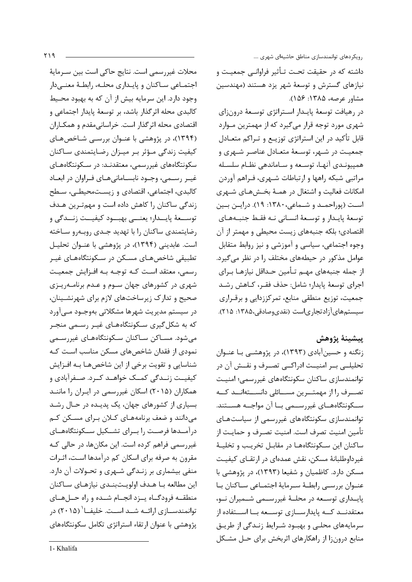محلات غيررسمي است. نتايج حاكي است بين سـرماية اجتمـاعي سـاكنان و پايـداري محلـه، رابطـهٔ معنـىدار وجود دارد. این سرمایه بیش از آن که به بهبود محیط كالبدي محله اثرگذار باشد، بر توسعهٔ پايدار اجتماعي و اقتصادی محله اثر گذار است. خراسانی مقدم و همکـاران (۱۳۹۴)، در پژوهشی با عنـوان بررسـی شـاخصهـای کیفیت زندگی مـؤثر بـر میـزان رضـایتمندی سـاکنان سکونتگاههای غیررسمی، معتقدنـد: در سـکونتگاههـای غيـر رسـمي، وجـود نابسـامانيهـاي فـراوان در ابعـاد كالبدى، اجتماعي، اقتصادى و زيستمحيطــ ، سـطح زندگی ساکنان را کاهش داده است و مهم ترین هـدف .<br>توســعهٔ پايــدار؛ يعنـــي بهبــود كيفيــت زنــدگي و رضایتمندی ساکنان را با تهدید جـدی روبـهرو سـاخته است. عابدینی (۱۳۹۴)، در پژوهشی با عنـوان تحلیـل تطبیقی شاخصهـای مسـکن در سـکونتگاههـای غیـر رسمي، معتقد است كـه توجـه بـه افـزايش جمعيـت شهری در کشورهای جهان سـوم و عـدم برنامـهریـزی صحیح و تدارک زیرساختهای لازم برای شهرنشـینان، در سیستم مدیریت شهرها مشکلاتی بهوجـود مـیآورد که به شکل گیری سـکونتگاههـای غیـر رسـمی منجـر می شود. مســاکن ســاکنان ســکونتگاههـای غیررســمی نمودی از فقدان شاخصهای مسکن مناسب است کـه شناسایی و تقویت برخی از این شاخصهـا بـه افـزایش کیفیـت زنـدگی کمـک خواهـد کـرد. صـفرآبادی و همکاران (۲۰۱۵) اسکان غیررسمی در ایـران را ماننـد بسیاری از کشورهای جهان، یک پدیـده در حـال رشـد میدانند و ضعف برنامههـای کـلان بـرای مسـکن کـم درآمـدها فرصـت را بـراى تشـكيل سـكونتگاههـاى غیررسمی فراهم کرده است. این مکانها، در حالی کـه مقرون به صرفه برای اسکان کم درآمدها است، اثـرات منفی بیشماری بر زنـدگی شـهری و تحـولات آن دارد. این مطالعه بـا هـدف اولویـتبنـدی نیازهـای سـاکنان منطقـه فرودگـاه يـزد انجـام شـده و راه حـلهـاى توانمندســازی ارائــه شــد اســت. خلیفــا` (۲۰۱۵) در پژوهشی با عنوان ارتقاء استراتژی تکامل سکونتگاههای رویکردهای توانمندسازی مناطق حاشیهای شهری ....

داشته که در حقیقت تحت تـأثیر فراوانـی جمعیـت و نیازهای گسترش و توسعهٔ شهر یزد هستند (مهندسین مشاور عرصه، ۱۳۸۵: ۱۵۶).

در رهيافت توسعهٔ پايـدار اسـتراتژي توسـعهٔ درونزاي شهری مورد توجه قرار میگیرد که از مهمترین مـوارد قابل تأکید در این استراتژی توزیـع و تـراکم متعـادل جمعيـت در شـهر، توسـعهٔ متعـادل عناصـر شـهري و همییوندی آنها، توسعه و ساماندهی نظام سلسله مراتبي شبكه راهها و ارتباطات شـهري، فـراهم آوردن امکانات فعالیت و اشتغال در همـهٔ بخـشهـای شـهری اسـت (پوراحمـد و شـماعي، ۱۳۸۰: ۱۹). درايـن بـين توسعهٔ پایـدار و توسـعهٔ انسـانی نـه فقـط جنبـههـای اقتصادی؛ بلکه جنبههای زیست محیطی و مهمتر از آن وجوه اجتماعي، سياسي و آموزشي و نيز روابط متقابل عوامل مذکور در حیطههای مختلف را در نظر می گیرد. از جمله جنبههای مهـم تـأمين حـداقل نيازهـا بـراي اجراي توسعهٔ پايدار؛ شامل: حذف فقـر، كـاهش رشـد جمعیت، توزیع منطقی منابع، تمرکززدایی و برقـراری سیستمهایآزادتجاریاست (نقدیوصادقی،۱۳۸۵: ۲۱۵).

# ييشينة يژوهش

زنگنه و حسین آبادی (۱۳۹۳)، در پژوهشـی بـا عنـوان تحلیلــی بــر امنیــت ادراکــی تصــرف و نقــش آن در توانمندسازی ساکنان سکونتگاههای غیررسمی؛ امنیت تصـــرف را از مهمتـــرين مســـائلي دانســـتهانـــد كـــه ســکونتگاههــای غیررســمی بــا آن مواجــه هســتند. توانمندسازی سکونتگاههای غیررسمی از سیاستهای تأمين امنيت تصرف است. امنيت تصـرف و حمايـت از ساكنان اين سكونتگاههـا در مقابـل تخريـب و تخليـهٔ غيرداوطلبانۀ مسكن، نقش عمدهاي در ارتقــاي كيفيـت مسکن دارد. کاظمیان و شفیعا (۱۳۹۳)، در پژوهشی با عنـوان بررسـى رابطـهٔ سـرمايهٔ اجتمـاعى سـاكنان بـا یایـداری توسـعه در محلـهٔ غیررسـمی شـمیران نـو، معتقدنــد كــه پايدارســازي توســعه بــا اســتفاده از سرمایههای محلبی و بهبود شیرایط زنیدگی از طریبق منابع درونزا از راهكارهاي اثربخش براي حـل مشـكل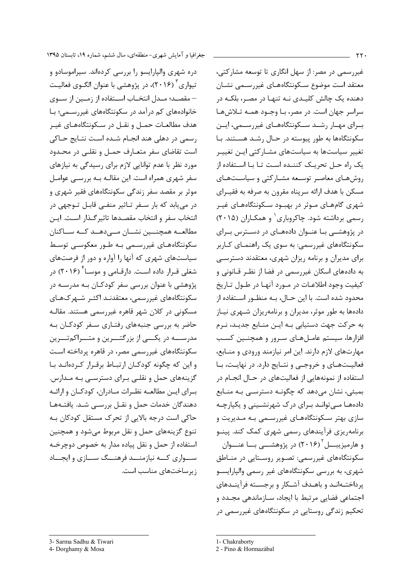دره شهری والپارایسو را بررسی کردهاند. سیراموسادو و تیواری<sup>۳</sup> (۲۰۱۶)، در پژوهشی با عنوان الگــوی فعالیــت – مقصــد؛ مــدل انتخــاب اســتفاده از زمــين از ســوى خانوادههای کم درآمد در سکونتگاههای غیررســمی؛ بــا هدف مطالعــات حمــل و نقــل در ســكونتگاههــاى غيــر رسمي در دهلي هند انجـام شـده اسـت نتـايج حـاكي است تقاضای سفر متعـارف حمـل و نقلـی در محـدود مورد نظر با عدم توانایی لازم برای رسیدگی به نیازهای سفر شهری همراه است. این مقالــه بــه بررســی عوامــل موثر بر مقصد سفر زندگی سکونتگاههای فقیر شهری و در مییابد که بار سـفر تـاثیر منفـی قابـل تـوجهی در انتخاب سفر و انتخاب مقصـدها تاثيرگـذار اسـت. ايـن مطالعـــه همچنــــین نشـــان مـــیدهـــد کـــه ســـاکنان سکونتگاههـای غیررسـمی بـه طـور معکوسـی توسـط سیاستهای شهری که آنها را آواره و دور از فرصتهای شغلی قـرار داده اسـت. دارقـامی و موســا<sup>۴</sup> (۲۰۱۶) در پژوهشی با عنوان بررسی سفر کودکـان بــه مدرســه در سکونتگاههای غیررسمی، معتقدنـد اکثـر شـهر کـهـای مسکونی در کلان شهر قاهره غیررسمی هستند. مقالـه حاضر به بررسی جنبههای رفتـاری سـفر کودکـان بـه مدرســــه در يكــــى از بزرگتــــرين و متــــراكمتــــرين سکونتگاههای غیررسمی مصر، در قاهره پرداخته اسـت و این که چگونه کودکان ارتباط برقـرار کـردهانـد بـا گزینههای حمل و نقلـی بـرای دسترسـی بـه مـدارس. بــراى ايــن مطالعــه نظــرات مــادران، كودكــان و ارائــه دهندگان خدمات حمل و نقــل بررســى شــد. يافتــهمـا حاکی است درجه بالایی از تحرک مستقل کودکان بـه تنوع گزینههای حمل و نقل مربوط میشود و همچنین استفاده از حمل و نقل پیاده مدار به خصوص دوچرخـه ســـواري كــــه نيازمنــــد فرهنـــگ ســـازي و ايجـــاد زیرساختهای مناسب است.

غیررسمی در مصر: از سهل انگاری تا توسعه مشارکتی، معتقد است موضوع سـكونتگاههـاى غيررســمى نشــان دهنده یک چالش کلیـدی نــه تنهـا در مصـر، بلکــه در سراسر جهان است. در مصر، بـا وجــود همــه تــلاش@ــا بــراي مهــار رشــد ســكونتگاههــاي غيررســمي، ايــن سکونتگاهها به طور پیوسته در حـال رشــد هســتند. بــا تغییر سیاستها به سیاستهای مشـارکتی ایـن تغییـر یک راه حـل تحریـک کننـده اسـت تـا بـا اسـتفاده از روشهـای معاصـر توسـعه مشـارکتی و سیاسـتهـای مسکن با هدف ارائه سرپناه مقرون به صرفه به فقیــرای شهری گامهـای مـوثر در بهبـود سـکونتگاههـای غیـر رسمی برداشته شود. چاکروباری ٰ و همکـاران (۲۰۱۵) در پژوهشــی بــا عنــوان دادههــای در دســترس بــرای سکونتگاههای غیررسمی: به سوی یک راهنمـای کــاربر برای مدیران و برنامه ریزان شهری، معتقدند دسترسـی به دادههای اسکان غیررسمی در فضا از نظـر قــانونی و كيفيت وجود اطلاعـات در مــورد آنهــا در طــول تــاريخ محدود شده است. با این حــال، بــه منظــور اســتفاده از دادهها به طور موثر، مدیران و برنامهریزان شـهری نیــاز به حرکت جهت دستیابی بــه ایــن منــابع جدیـد، نــرم افزارها، سیستم عامـلهـای سـرور و همچنـین کسـب مهارتهای لازم دارند. این امر نیازمند ورودی و منــابع، فعالیــتهــای و خروجــی و نتــایج دارد. در نهایــت، بــا استفاده از نمونههایی از فعالیتهای در حـال انجــام در بمبئی، نشان میدهد که چگونـه دسترســی بــه منــابع دادههـا مـیتوانـد بـرای درک شهرنشـینی و یکپارچـه سازی بهتر سـکونتگاههـای غیررسـمی بـه مـدیریت و برنامهریزی فرآیندهای رسمی شهری کمک کند. پینــو و هارمیزیبـــل<sup>۲</sup> (۲۰۱۶) در پژوهشــــی بـــا عنــــوان سکونتگاههای غیررسمی: تصـویر روسـتایی در منــاطق شهری، به بررسی سکونتگاههای غیر رسمی والپارایسـو پرداختـهانـد و باهـدف آشـكار و برجسـته فرآينـدهاى اجتماعی فضایی مرتبط با ایجاد، سـازماندهی مجـدد و تحکیم زندگی روستایی در سکونتگاههای غیررسمی در

<sup>3-</sup> Sarma Sadhu & Tiwari

<sup>4-</sup> Dorghamy & Mosa

<sup>1-</sup> Chakraborty

<sup>2</sup> - Pino & Hormazábal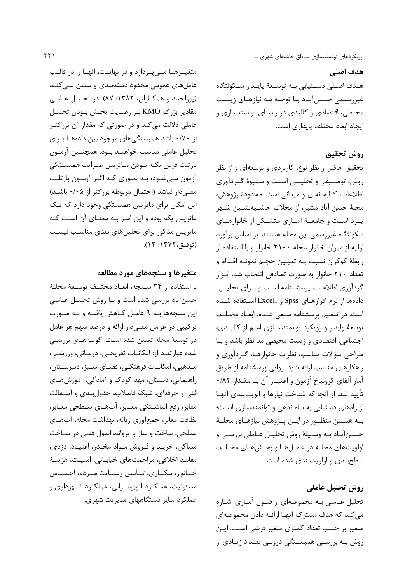ھدف اصلے، هـدف اصـلى دسـتيابي بـه توسـعهٔ پايـدار سـكونتگاه غیررسـمی حسـنآبـاد بـا توجـه بـه نیازهـای زیسـت محیطی، اقتصادی و کالبدی در راستای توانمندسازی و ايجاد ابعاد مختلف يايداري است.

## روش تحقيق

تحقیق حاضر از نظر نوع، کاربردی و توسعهای و از نظر روش، توصیفی و تحلیلے است و شیوهٔ گیردآوری اطلاعات، كتابخانهاي و ميداني است. محدودهٔ پژوهش، محلهٔ حسن آباد مشیر، از محلات حاشـیهنشـین شـهر يـزد اسـت و جامعــهٔ آمـاري متشــكل از خانوارهــاي سکونتگاه غیررسمی این محله هستند. بر اساس برآورد اولیه از میزان خانوار محله ۲۱۰۰ خانوار و با استفاده از رابطهٔ کوکران نسبت بـه تعیـین حجـم نمونـه اقـدام و تعداد ٢١٠ خانوار به صورت تصادفي انتخاب شد. ابـزار گردآوری اطلاعـات پرسشـنامه اسـت و بـرای تحليـل دادهها از نرم افزارهـای Spss و Excell اسـتفاده شـده است. در تنظیم پرسشنامه سعی شـده، ابعـاد مختلـف توسعهٔ پایدار و رویکرد توانمندسـازی اعـم از کالبـدی، اجتماعی، اقتصادی و زیست محیطی مد نظر باشد و با طراحي سؤالات مناسب، نظرات خانوارهـا، گـردآوري و راهکارهای مناسب ارائه شود. روایی پرسشنامه از طریق آمار آلفای کرونباخ آزمون و اعتبـار آن بـا مقـدار ۰/۸۴ تأييد شد. از آنجا كه شناخت نيازها و الويتبندي آنهـا از راههای دستیابی به ساماندهی و توانمندسازی است؛ بـه همــين منظــور در ايــن پــژوهش نيازهــاي محلــهٔ حسـنآبـاد بـه وسـيلهٔ روش تحليـل عـاملي بررسـي و اولویتهای محلـه در عامـلهـا و بخـشهـای مختلـف سطحبندی و اولویتبندی شده است.

# روش تحليل عاملي

تحلیل عـاملی بـه مجموعـهای از فنـون آمـاری اشـاره می کند که هدف مشترک آنها ارائـه دادن مجموعـهای متغیر بر حسب تعداد کمتری متغیر فرضی است. ایـن روش بـه بررســی همبســتگی درونــی تعـداد زیــادی از

متغیــرهــا مــی یــردازد و در نهایــت، آنهــا را در قالــب عاملهای عمومی محدود دستهبندی و تبیین مـی کنــد (پوراحمد و همكـاران، ١٣٨٢: ٨٧). در تحليـل عـاملي مقادیر بزرگ KMO بر رضایت بخش بودن تحلیل عاملی دلالت می کند و در صورتی که مقدار آن بزرگتـر از ۰/۷۰ باشد همبستگیهای موجود بین دادههـا بـرای تحليل عاملي مناسب خواهنـد بـود. همچنـين آزمـون بارتلت فرض يكـه بـودن مـاتريس ضـرايب همبســتگى آزمون مےشود، بـه طـوری کـه اگـر آزمـون بارتلـت معنی دار نباشد (احتمال مربوطه بزرگتر از ۰/۰۵ باشد) این امکان برای ماتریس همبستگی وجود دارد که یک ماتریس یکه بوده و این امـر بـه معنـای آن اسـت کـه ماتریس مذکور برای تحلیلهای بعدی مناسب نیست (توفيق، ١٣٧٢: ١٢).

#### متغیرها و سنجههای مورد مطالعه

با استفاده از ٣۴ سنجه، ابعاد مختلف توسعة محلة حسنآباد بررسی شده است و بـا روش تحليـل عـاملی این سنجهها بـه ۹ عامـل کـاهش یافتـه و بـه صـورت ترکیبی در عوامل معنیدار ارائه و درصد سهم هر عامل در توسعهٔ محله تعیین شده است. گویـههـای بررسـی شده عبارتنـد از: امكانـات تفريحـي، درمـاني، ورزشـي، مـذهبي، امكانـات فرهنگــي، فضـاي ســبز، دبيرســتان، راهنمایی، دبستان، مهد کودک و آمادگی، آموزشهای فنی و حرفهای، شبکهٔ فاضلاب، جدولبندی و آسـفالت معابر، رفع انباشتگی معـابر، آبهـای سـطحی معـابر، نظافت معابر، جمع آوري زباله، بهداشت محله، آبهاي سطحي، ساخت و ساز با پروانه، اصول فنے در سـاخت مساکن، خریـد و فـروش مـواد مخـدر، اعتیـاد، دزدی، مفاسد اخلاقی، مزاحمتهای خیابـانی، امنیـت، هزینـهٔ خــانوار، بيكــاري، تــأمين رضــايت مــردم، احســاس مسئولیت، عملکـرد اتوبوسـرانی، عملکـرد شـهرداری و عملکرد سایر دستگاههای مدیریت شهری.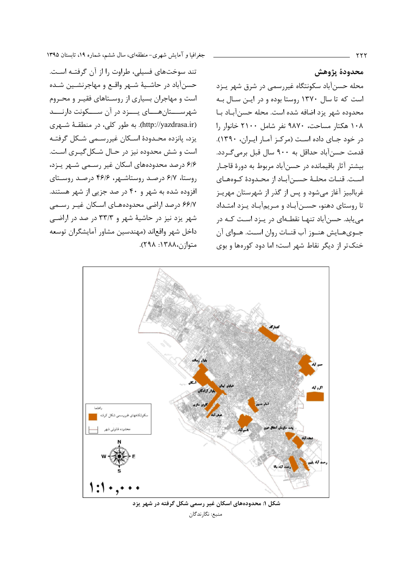محدودة يژوهش محله حسنآباد سکونتگاه غیررسمی در شرق شهر پـزد است که تا سال ۱۳۷۰ روستا بوده و در ایـن سـال بـه محدوده شهر يزد اضافه شده است. محله حسنآبـاد بـا ۱۰۸ هکتار مساحت، ۹۸۷۰ نفر شامل ۲۱۰۰ خانوار را در خود جـای داده اسـت (مرکـز آمـار ايـران، ١٣٩٠). قدمت حسن آباد حداقل به ۹۰۰ سال قبل برمیگردد. بیشتر آثار باقیمانده در حسنآباد مربوط به دورهٔ قاجـار اسـت. قنـات محلـهٔ حسـن آبـاد از محـدودهٔ کـوههـای غربالبيز آغاز مي شود و پس از گذر از شهرستان مهريـز تا روستای دهنو، حسـن آبـاد و مـریم آبـاد پـزد امتـداد می یابد. حسنآباد تنهـا نقطـهای در پـزد اسـت کـه در جــوىهــايش هنــوز آب قنــات روان اســت. هــواي آن خنک تر از دیگر نقاط شهر است؛ اما دود کورهها و بوی

تند سوختهای فسیلی، طراوت را از آن گرفتـه اسـت. حسنآباد در حاشـيهٔ شـهر واقـع و مهاجرنشـين شـده است و مهاجران بسیاری از روسـتاهای فقیـر و محـروم شهرســــتانهــــای يــــزد در آن ســــکونت دارنــــد (http://yazdrasa.ir). به طور کلی، در منطقـهٔ شـهری یزد، پانزده محـدودهٔ اسـکان غیررسـمی شـکل گرفتـه است و شش محدوده نیز در حـال شـكلگیـری اسـت. ۶/۶ درصد محدودههای اسکان غیر رسـمی شـهر پـزد، روستا، ۶/۷ درصد روستاشـهر، ۴۶/۶ درصـد روسـتای افزوده شده به شهر و ۴۰ در صد جزیی از شهر هستند. ۶۶/۷ درصد اراضی محدودههای اسکان غیـر رسـمی شهر یزد نیز در حاشیهٔ شهر و ۳۳/۳ در صد در اراضی داخل شهر واقعاند (مهندسين مشاور آمايشگران توسعه متوازن،١٣٨٨: ٢٩٨).



منبع: نگارندگان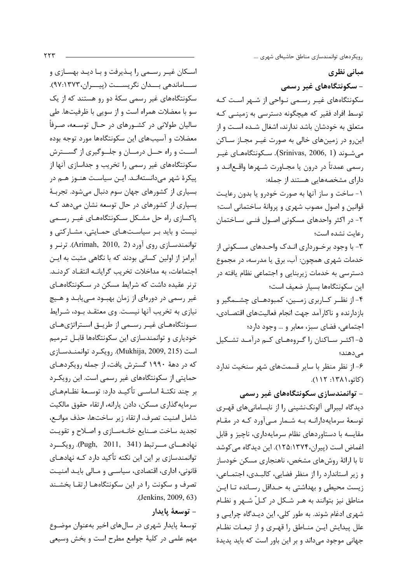مبانی نظری – سکونتگاههای غیر رسمی سکونتگاههای غیـر رسـمی نـواحی از شـهر اسـت کـه توسط افراد فقیر که هیچگونه دسترسی به زمینـی کـه متعلق به خودشان باشد ندارند، اشغال شـده اسـت و از این٫و در زمینهای خالی به صورت غیـر مجـاز سـاکن می شــوند (Srinivas, 2006, 1). ســکونتگاههـای غیــر رسمي عمدتاً در درون يا مجــاورت شــهرها واقــع|نــد و دارای مشخصههایی هستند از جمله: ١- ساخت و ساز آنها به صورت خودرو يا بدون رعايت قوانین و اصول مصوب شهری و پروانهٔ ساختمانی است؛ ٢- در اكثر واحدهاى مسكونى اصـول فنـى سـاختمان رعايت نشده است؛ ۳- با وجود برخـورداری انـدک واحـدهای مسـکونی از خدمات شهری همچون: آب، برق یا مدرسه، در مجموع دسترسی به خدمات زیربنایی و اجتماعی نظام یافته در این سکونتگاهها بسیار ضعیف است؛ ۴- از نظـر کــاربری زمــین، کمبودهــای چشــمگیر و بازدارنده و ناكارآمد جهت انجام فعالیتهای اقتصادی، اجتماعي، فضاى سبز، معابر و ... وجود دارد؛ ۵- اکثـر سـاکنان را گـروههـای کـم درآمـد تشـکیل مے ردھند؛ ۶- از نظر منظر با سایر قسمتهای شهر سنخیت ندارد (کاتو، ۱۳۸۱: ۱۱۲). - توانمندسازی سکونتگاههای غیر رسمی دیدگاه لیبرالی آلونکنشینی را از نابسامانیهای قهـری توسعهٔ سرمایهدارانـه بـه شـمار مــی آورد کـه در مقـام مقایسه با دستاوردهای نظام سرمایهداری، ناچیز و قابل اغماض است (پیران،۱۳۷۴هـ۱۲۵). این دیدگاه می کوشد تا با ارائهٔ روشهای مشخص، ناهنجاری مسکن خودساز و زیر استاندارد را از منظر فضایی، کالبـدی، اجتمـاعی، زیست محیطی و بهداشتی به حـداقل رسـانده تـا ایـن مناطق نیز بتوانند به هـر شـكل در كـلّ شـهر و نظـام شهری ادغام شوند. به طور کلی، این دیـدگاه چرایـی و علل پیدایش ایـن منـاطق را قهـری و از تبعـات نظـام

جهانی موجود می داند و بر این باور است که باید پدیدهٔ

اسكان غيـر رسـمي را پـذيرفت و بـا ديـد بهسـازي و ســـاماندهي بـــدان نگريســـت (پيـــران،١٣٧٣). سکونتگاههای غیر رسمی سکهٔ دو رو هستند که از یک سو با معضلات همراه است و از سویی با ظرفیتها. طی ساليان طولاني در كشــورهاي در حــال توســعه، صـرفاً معضلات و آسیبهای این سکونتگاهها مورد توجه بوده اســت و راه حــل درمــان و جلــوگیری از گســترش سکونتگاههای غیر رسمی را تخریب و جداسازی آنها از پیکرهٔ شهر میدانستهانـد. ایـن سیاسـت هنـوز هـم در بسیاری از کشورهای جهان سوم دنبال میشود. تجربـهٔ بسیاری از کشورهای در حال توسعه نشان میدهد کـه پاکسازی راه حل مشکل سکونتگاههای غیـر رسـمی نیست و باید بـر سیاسـتهـای حمـایتی، مشـارکتی و توانمندسازی روی آورد (Arimah, 2010, 2). ترنر و آبرامز از اولین کسانی بودند که با نگاهی مثبت به ایـن اجتماعات، به مداخلات تخریب گرایانـه انتقـاد کردنـد. ترنر عقیده داشت که شرایط مسکن در سـکونتگاههـای غیر رسمی در دورمای از زمان بهبـود مــی یابـد و هــیچ نیازی به تخریب آنها نیست. وی معتقـد بـود، شـرایط سـونتگاههـای غیـر رسـمی از طریـق اسـتراتژیهـای خودیاری و توانمندسازی این سکونتگاهها قابـل تـرمیم است (Mukhija, 2009, 215). رويكرد توانمنـدسـازي که در دههٔ ۱۹۹۰ گسترش یافت، از جمله رویکردهـای حمایتی از سکونتگاههای غیر رسمی است. این رویک رد بر چند نکتـهٔ اساســی تأکیــد دارد: توســعهٔ نظــامهــای سرمايه گذاري مسكن، دادن يارانه، ارتقاء حقوق مالكيت شامل امنيت تصرف، ارتقاء زير ساختها، حذف موانـع، تجدید ساخت صـنایع خانـهسـازی و اصـلاح و تقویـت نهادهـای مـــرتبط (Pugh, 2011, 341). رویکـــرد توانمندسازی بر این این نکته تأکید دارد کـه نهادهـای قانونی، اداری، اقتصادی، سیاسے و مـالی بایـد امنیـت تصرف و سکونت را در این سکونتگاههـا ارتقـا بخشـند .(Jenkins, 2009, 63)

# – توسعهٔ پایدار

توسعهٔ پایدار شهری در سالهای اخیر بهعنوان موضـوع مهم علمی در کلیهٔ جوامع مطرح است و بخش وسیعی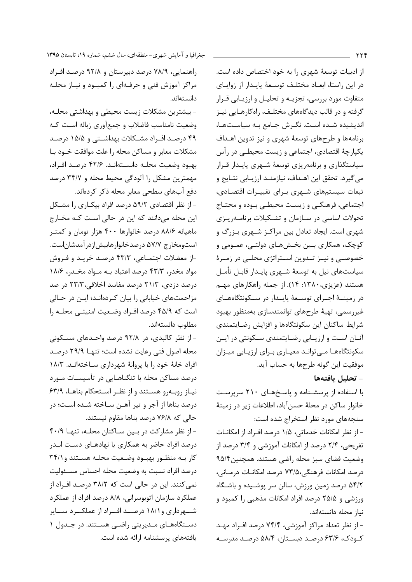از ادبیات توسعهٔ شهری را به خود اختصاص داده است. در این راستا، ابعاد مختلف توسعهٔ پایدار از زوایای متفاوت مورد بررسی، تجزیـه و تحلیـل و ارزیـابی قـرار گرفته و در قالب دیدگاههای مختلـف، راهکارهـایی نیـز اندیشیده شده است. نگرش جامع بـه سیاسـتهـا، برنامهها و طرحهای توسعهٔ شهری و نیز تدوین اهـداف يكپارچهٔ اقتصادي، اجتماعي و زيست محيطـي در رأس سیاستگذاری و برنامه یزی توسعهٔ شـهری پایـدار قـرار می گیرد. تحقق این اهـداف، نیازمنـد ارزیـابی نتـایج و تبعات سیستمهای شهری برای تغییرات اقتصادی، اجتماعی، فرهنگے و زیست محیطے بوده و محتـاج تحولات اساسی در سـازمان و تشـکیلات برنامـهریـزی شهری است. ایجاد تعادل بین مراکـز شـهری بـزرگ و کوچک، همکاری بـین بخـشهـای دولتـی، عمـومی و خصوصـی و نیــز تــدوین اســتراتژی محلــی در زمــرهٔ سیاستهای نیل به توسعهٔ شـهری پایـدار قابـل تأمـل هستند (عزیزی، ۱۳۸۰: ۱۴). از جمله راهکارهای مهـم در زمینــهٔ اجــرای توســعهٔ پایــدار در ســکونتگاههــای غيررسمي، تهيهٔ طرحهاي توانمندسازي بهمنظور بهبود شرايط ساكنان اين سكونتگاهها و افزايش رضايتمندى آنــان اســت و ارزیــابی رضــایتمندی ســکونتی در ایــن سکونتگاهها مےتواند معیاری برای ارزیابی میزان موفقيت اين گونه طرحها به حساب آيد.

– تحليل يافتهها

با استفاده از پرسشـنامه و پاسـخهـای ۲۱۰ سرپرسـت خانوار ساكن در محلهٔ حسن آباد، اطلاعات زیر در زمینهٔ سنجههای مورد نظر استخراج شده است:

- از نظر امکانات خدماتی، ۱/۵ درصد افراد از امکانـات تفریحی، ۲/۴ درصد از امکانات آموزشی و ۳/۴ درصد از وضعيت فضاى سبز محله راضى هستند. همچنين ۹۵/۴ درصد امکانات فرهنگی،۷۳/۵ درصد امکانـات درمـانی، ۵۴/۲ درصد زمین ورزش، سالن سر پوشـیده و باشـگاه ورزشی و ۲۵/۵ درصد افراد امکانات مذهبی را کمبود و نياز محله دانستهاند.

- از نظر تعداد مراکز آموزشی، ۷۴/۴ درصد افـراد مهـد کودک، ۶۳/۶ درصد دبستان، ۵۸/۴ درصد مدرسه

راهنمایی، ۷۸/۹ درصد دبیرستان و ۹۲/۸ درصد افراد مراکز آموزش فنی و حرفهای را کمبود و نیـاز محلـه دانستهاند.

- بیشترین مشکلات زیست محیطی و بهداشتی محلـه، وضعیت نامناسب فاضلاب و جمع آوری زباله است کـه ۴۹ درصد افـراد مشـكلات بهداشـتي و ۱۵/۵ درصـد مشكلات معابر و مساكن محله را علت موافقت خــود بــا بهبود وضعيت محلـه دانسـتهانـد. ۴۲/۶ درصـد افـراد، مهمترین مشکل را آلودگی محیط محله و ۳۴/۷ درصد دفع آبهای سطحی معابر محله ذکر کردهاند.

- از نظر اقتصادی ۵۹/۲ درصد افراد بیکباری را مشکل این محله میدانند که این در حالی است کـه مخـارج ماهیانه ۸۸/۶ درصد خانوارها ۴۰۰ هزار تومان و کمتـر استومخارج ۵۷/۷ درصدخانوارهابیشازدرآمدشاناست. -از معضلات اجتمـاعي، ۴۳/۳ درصـد خريـد و فـروش مواد مخدر، ۴۳/۳ درصد اعتیاد بـه مـواد مخـدر، ۱۸/۶ درصد دزدی، ۲۱/۳ درصد مفاسد اخلاقی،۲۳/۳ در صد مزاحمتهای خیابانی را بیان کردهانـد؛ ایـن در حـالی است که ۴۵/۹ درصد افـراد وضـعیت امنیتـی محلـه را مطلوب دانستهاند.

- از نظر کالبدی، در ۹۲/۸ درصد واحـدهای مسـکونی محله اصول فنی رعایت نشده است؛ تنها ۲۹/۹ درصد افراد خانهٔ خود را با پروانهٔ شهرداری سـاختهانـد. ۱۸/۳ درصد مساکن محله با تنگناهـایی در تأسیسـات مـورد نیاز روبهرو هستند و از نظر استحکام بناها، ۶۳/۹ درصد بناها از آجر و تیر آهـن سـاخته شـده اسـت؛ در حالي كه ٧۶/٨ درصد بناها مقاوم نيستند.

- از نظر مشارکت در بین ساکنان محلـه، تنهـا ۴۰/۹ درصد افراد حاضر به همکاری با نهادهـای دسـت انـدر کار بـه منظـور بهبـود وضـعيت محلـه هسـتند و ٣۴/١ درصد افراد نسبت به وضعيت محله احساس مسـئوليت نمی کنند. این در حالی است که ۳۸/۲ درصـد افـراد از عملكرد سازمان اتوبوسراني، ٨/٨ درصد افراد از عملكرد شــهرداری و ۱۸/۱ درصــد افــراد از عملکــرد ســـایر دستگاههای مـدیریتی راضـی هسـتند. در جـدول ۱ یافتههای پرسشنامه ارائه شده است.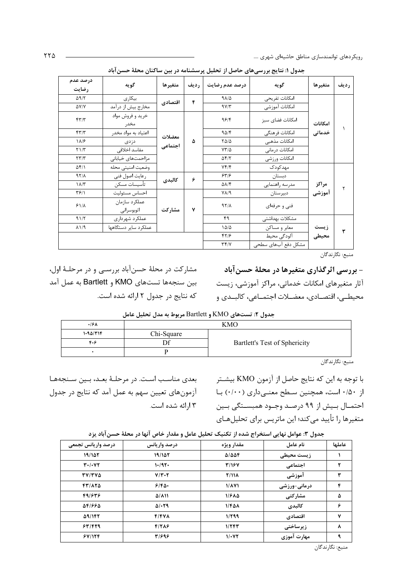| درصد عدم<br>رضايت                               | گو به                       | متغيرها | <b>رديف</b> | درصد عدم رضايت                 | گويه                | متغيرها       | رديف          |  |  |  |  |             |                |  |  |
|-------------------------------------------------|-----------------------------|---------|-------------|--------------------------------|---------------------|---------------|---------------|--|--|--|--|-------------|----------------|--|--|
| $\Delta$ 9/٢                                    | بيكارى                      | اقتصادي | ۴           | $9\lambda/\Delta$              | امكانات تفريحي      |               |               |  |  |  |  |             |                |  |  |
| $\Delta Y/Y$                                    | مخارج بيش از درآمد          |         |             | 9Y/T                           | امكانات آموزشى      |               |               |  |  |  |  |             |                |  |  |
| $\mathbf{f} \mathbf{y} = \mathbf{f} \mathbf{y}$ | خريد و فروش مواد<br>مخدر    |         |             | 95/                            | امكانات فضاي سبز    | امكانات       |               |  |  |  |  |             |                |  |  |
| $\mathbf{f} \mathbf{y} = \mathbf{f} \mathbf{y}$ | اعتياد به مواد مخدر         | معضلات  |             | 90/5                           | امكانات فرهنگى      | خدماتی        |               |  |  |  |  |             |                |  |  |
| $\lambda$ /۶                                    | دزدى                        | اجتماعى |             | ۵                              | $Y\Delta/\Delta$    | امكانات مذهبى |               |  |  |  |  |             |                |  |  |
| $Y \frac{1}{T}$                                 | مفاسد اخلاقى                |         |             |                                |                     |               |               |  |  |  |  | $YY/\Delta$ | امكانات درمانى |  |  |
| $\tau\tau/\tau$                                 | مزاحمتهاى خيابانى           |         |             |                                |                     | $\Delta f/Y$  | امكانات ورزشى |  |  |  |  |             |                |  |  |
| $\Delta f/\lambda$                              | وضعيت امنيتي محله           |         |             | Yf/F                           | مهدكودك             |               |               |  |  |  |  |             |                |  |  |
| 97/1                                            | رعايت اصول فني              | كالبدى  | ۶           | 557/5                          | دبستان              |               |               |  |  |  |  |             |                |  |  |
| $\lambda/\tau$                                  | تأسيسات مسكن                |         |             | $\Delta\lambda/\Upsilon$       | مدرسه راهنمايي      | مراكز         | ۲             |  |  |  |  |             |                |  |  |
| ۳۶/۱                                            | احساس مسئوليت               |         |             | $V\Lambda/9$                   | دبيرستان            | اموزشي        |               |  |  |  |  |             |                |  |  |
| $51/\lambda$                                    | عملكرد سازمان<br>اتوبوسراني | مشاركت  | ٧           | 97/                            | فنی و حرفهای        |               |               |  |  |  |  |             |                |  |  |
| 91/7                                            | عملکر د شهر داری            |         |             | ۴۹                             | مشكلات بهداشتى      |               |               |  |  |  |  |             |                |  |  |
| $P(\Lambda)$                                    | عملکرد سایر دستگاهها        |         |             | $1\Delta/\Delta$               | معابر و مساکن       | زيست          | ۳             |  |  |  |  |             |                |  |  |
|                                                 |                             |         |             | 57/5                           | آلودگی محیط         | محيطى         |               |  |  |  |  |             |                |  |  |
|                                                 |                             |         |             | $\Upsilon \Upsilon / \Upsilon$ | مشكل دفع آبهاى سطحى |               |               |  |  |  |  |             |                |  |  |

جدول ۱: نتایج بررسیهای حاصل از تحلیل پرسشنامه در بین ساکنان محلهٔ حسن آباد

منبع: نگارندگان

- بررسی اثرگذاری متغیرها در محلهٔ حسن آباد آثار متغیرهای امکانات خدماتی، مراکز آموزشی، زیست محيطــي، اقتصــادي، معضــلات اجتمــاعي، كالبــدي و

مشارکت در محلهٔ حسنآباد بررسـی و در مرحلـهٔ اول، بين سنجهها تستهاى KMO و Bartlett به عمل آمد که نتایج در جدول ۲ ارائه شده است.

| جنون ۱. نسخههای Auticu و Darticu مربوط به مدن تحتین عامل |            |                               |  |  |  |
|----------------------------------------------------------|------------|-------------------------------|--|--|--|
| ۰۱۶۸                                                     |            | <b>KMO</b>                    |  |  |  |
| ۱۰۹۵/۳۱۴                                                 | Chi-Square |                               |  |  |  |
| 404                                                      |            | Bartlett's Test of Sphericity |  |  |  |
|                                                          |            |                               |  |  |  |

حدول ٢: تستهاي KMO و Bartlett مربوط به مدل تحليل عامل

منبع: نگارندگان

با توجه به این که نتایج حاصل از آزمون KMO بیشتر از ۰/۵۰ است، همچنین سـطح معنــی۱دری (۰/۰۰) بـا احتمــال بــيش از ۹۹ درصـد وجــود همبســتگي بــين متغیرها را تأیید می کند؛ این ماتریس برای تحلیلهـای

درمانی-ورزشی

مشاركتى

كالبدى

اقتصادى

زيرساختى

مهارت آموزی

بعدی مناسب است. در مرحلهٔ بعـد، بـین سـنجههـا آزمونهای تعیین سهم به عمل آمد که نتایج در جدول ۱۳ انه شده است.

 $F9/575$ 

 $\Delta F/FFA$ 

**A9/147** 

 $54/679$ 

 $5Y/17F$ 

| درصد واريانس تجمعى   | درصد واريانس | مقدار ويژه              | نام عامل      | عاملها |
|----------------------|--------------|-------------------------|---------------|--------|
| 19/107               | 19/15        | $\Delta/\Delta\Delta f$ | زيست محيطى    |        |
| $Y \cdot / \cdot VY$ | ۱۰/۹۲۰       | <b>٣/١۶٧</b>            | اجتماعى       |        |
| <b>TV/TVS</b>        | $V/Y\cdot Y$ | <b>T/118</b>            | آموزشی        |        |
| 431875               | ۴۱۴۵۰        | 1/871                   | درمانے -ورزشے |        |

1/810

 $1/F\Delta\lambda$ 

 $1/799$ 

 $1/777$ 

 $1/\cdot YY$ 

 $\Delta/\Lambda$ 11

 $\Delta/\cdot$ ۳۹

 $F/FVA$ 

 $F/7AP$ 

 $T/999$ 

جدول ٣: عوامل نهایی استخراج شده از تکنیک تحلیل عامل و مقدار خاص آنها در محلهٔ حسن آباد یزد

منبع: نگارندگان

 $\Delta$ 

۶

٧

 $\pmb{\lambda}$ 

٩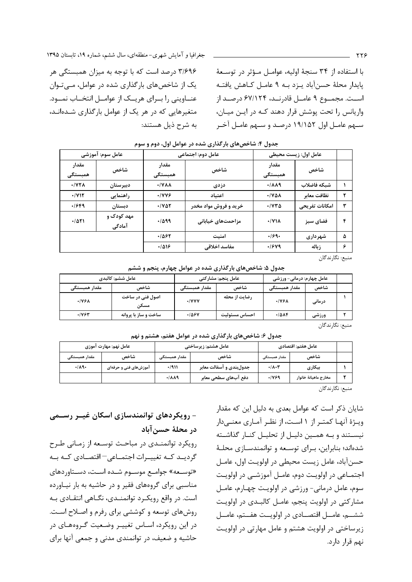واریانس را تحت یوشش قرار دهند کـه در ایـن میـان،

سبهم عامیل اول ۱۹/۱۵۲ درصید و سبهم عامیل آخیر

۳/۶۹۶ درصد است که با توجه به میزان همبستگی هر یک از شاخصهای بارگذاری شده در عوامل، میتوان عنــاوینی را بــرای هریــک از عوامــل انتخــاب نمــود. متغیرهایی که در هر یک از عوامل بارگذاری شـدهانـد، به شرح ذیل هستند:

جغرافیا و آمایش شهری-منطقهای، سال ششم، شماره ۱۹، تابستان ۱۳۹۵

| عامل سوم: آموزشی                |                      | عامل دوم: اجتماعی           |                       | عامل اول: زيست محيطي       |                |   |  |
|---------------------------------|----------------------|-----------------------------|-----------------------|----------------------------|----------------|---|--|
| مقدار<br>همبستگی                | شاخص                 | مقدار<br>همبستگی            | شاخص                  | مقدار<br>همبستگی           | شاخص           |   |  |
| $\cdot$ / $\gamma\gamma\lambda$ | دبيرستان             | $\cdot$ /YAA                | دزدی                  | $\cdot/\lambda\lambda$ 9   | شبكه فاضلاب    |   |  |
| $\cdot$ /712                    | راهنمایی             | .1999                       | اعتىاد                | $\cdot$ /YAA               | نظافت معابر    |   |  |
| .1999                           | دبستان               | $\cdot$ / $\vee$ $\wedge$ r | خرید و فروش مواد مخدر | $\cdot$ / $\vee\vee\wedge$ | امكانات تفريحي | ٣ |  |
| .701                            | مهد کودک و<br>آمادگی | .499                        | مزاحمتهای خیابانی     | $\cdot$ / $\gamma$         | فضای سبز       | ۴ |  |
|                                 |                      | .1887                       | امنىت                 | .199.                      | شهر داری       | ۵ |  |
|                                 |                      | .1019                       | مفاسد اخلاقى          | .1949                      | ; باله         | ۶ |  |

#### حدول ۴: شاخص های بارگذاری شده در عوامل اول، دوم و سوم

منبع: نگارندگان

جدول ۵: شاخصهای بارگذاری شده در عوامل چهارم، پنجم و ششم

| عامل ششم: كالبدي |                          | عامل ينجم: مشاركتي |               | عامل چهارم: درمانی- ورزشی |        |  |
|------------------|--------------------------|--------------------|---------------|---------------------------|--------|--|
| مقدار همبستگی    | شاخص                     | مقدار همبستگی      | شاخص          | مقدار همبستگی             | شاخص   |  |
| .199A            | اصول فنی در ساخت<br>مسکن | $\cdot$ /YYY       | رضایت از محله | .198A                     | درمانی |  |
| ۰۱۷۶۳            | ساخت و ساز با پروانه     | ۰۱۵۶۷              | احساس مسئوليت | ۰۱۵۸۴                     | ورزشى  |  |
|                  |                          |                    |               |                           | $-1$   |  |

منبع: نگارندگان

جدول ۶: شاخصهای بارگذاری شده در عوامل هفتم، هشتم و نهم

|               | عامل نهم: مهارت اموزی |               | عامل هفتم: اقتصادي<br>عامل هشتم: زيرساختي |               |                      |  |  |
|---------------|-----------------------|---------------|-------------------------------------------|---------------|----------------------|--|--|
| مقدار همبستگی | شاخص                  | مقدار همبستگے | شاخص                                      | مقدار همبستگی | شاخص                 |  |  |
| .14.          | آموزشهای فنی و حرفهای | .7911         | جدولبندی و آسفالت معابر                   | .14.7         | بيكارى               |  |  |
|               |                       | 4/119         | دفع آبھای سطحی معابر                      | 7471.         | مخارج ماهيانة خانوار |  |  |

منبع: نگارندگان

شایان ذکر است که عوامل بعدی به دلیل این که مقدار ویـژهٔ آنهـا کمتـر از ۱ اسـت، از نظـر آمـاری معنـیدار نیستند و بـه همـین دلیـل از تحلیـل کنـار گذاشـته شدهاند؛ بنابراین، برای توسعه و توانمندسازی محلـهٔ حسنآباد، عامل زیست محیطی در اولویت اول، عامـل اجتمـاعي در اولويـت دوم، عامـل آموزشـي در اولويـت سوم، عامل درمانی- ورزشی در اولویت چهارم، عامل مشارکتی در اولویت پنجم، عامل کالبـدی در اولویـت ششه، عامــل اقتصــادي در اولويــت هفــتم، عامــل زیرساختی در اولویت هشتم و عامل مهارتی در اولویت نهم قرار دارد.

- رویکردهای توانمندسازی اسکان غیــر رســمی در محلهٔ حسن آباد

رویکرد توانمنـدی در مباحـث توسـعه از زمـانی طـرح گردیـد کـه تغییـرات اجتمـاعی – اقتصـادی کـه بـه «توسـعه» جوامـع موسـوم شـده اسـت، دسـتاوردهای مناسبی برای گروههای فقیر و در حاشیه به بار نیـاورده است. در واقع رویکرد توانمنـدی، نگـاهی انتقـادی بـه روشهای توسعه و کوششی برای رفرم و اصلاح است. در این رویکرد، اسـاس تغییـر وضـعیت گـروههـای در حاشیه و ضعیف، در توانمندی مدنی و جمعی آنها برای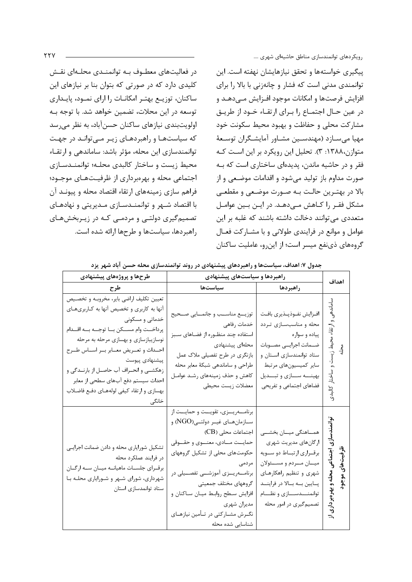رویکردهای توانمندسازی مناطق حاشیهای شهری ....

ييگيري خواستهها و تحقق نيازهايشان نهفته است. اين توانمندی مدنی است که فشار و چانهزنی با بالا را برای افزایش فرصتها و امکانات موجود افـزایش مـی۵هـد و در عين حـال اجتمـاع را بـراي ارتقـاء خـود از طريـق مشارکت محلی و حفاظت و بهبود محیط سکونت خود مهيا مي سـازد (مهندسـين مشـاور آمايشـگران توسـعهٔ متوازن،۱۳۸۸: ۳). تحلیل این رویکرد بر این است کـه فقر و در حاشیه ماندن، پدیدهای ساختاری است که بـه صورت مداوم باز تولید می شود و اقدامات موضعی و از بالا در بهتـرين حالـت بـه صـورت موضـعي و مقطعـي مشکل فقـر را کـاهش مـی۵هـد. در ایـن بـین عوامـل متعددی می توانند دخالت داشته باشند که غلبه بر این عوامل و موانع در فرایندی طولانی و با مشـارکت فعـال گروههای ذی نفع میسر است؛ از این رو، عاملیت ساکنان

در فعالیتهای معطـوف بـه توانمنـدی محلـهای نقـش کلیدی دارد که در صورتی که بتوان بنا بر نیازهای این ساکنان، توزیـع بهتـر امکانـات را ارای نمـود، پایـداری توسعه در این محلات، تضمین خواهد شد. با توجه بـه اولويت بندي نيازهاي ساكنان حسن آباد، به نظر مے رسد که سیاستها و راهبردهای زیر مے تواند در جهت توانمندسازی این محله، مؤثر باشد: ساماندهی و ارتقـاء محیط زیست و ساختار کالبدی محلـه؛ توانمنـدسـازی اجتماعی محله و بهرهبرداری از ظرفیتهای موجـود؛ فراهم سازی زمینههای ارتقاء اقتصاد محله و پیونـد آن با اقتصاد شـهر و توانمنـدسـازي مـديريتي و نهادهـاي تصمیم گیری دولتے و مردمے کـه در زیـربخشهـای راهبردها، سیاستها و طرحها ارائه شده است.

| طرحها و پروژههای پیشنهادی                                                                                                                                                                                                                                                                                                                                                                                  | راهبردها و سیاستهای پیشنهادی                                                                                                                                                                                                                                                                                                                                              |                                                                                                                                                                                                                                     |                                                                                       |
|------------------------------------------------------------------------------------------------------------------------------------------------------------------------------------------------------------------------------------------------------------------------------------------------------------------------------------------------------------------------------------------------------------|---------------------------------------------------------------------------------------------------------------------------------------------------------------------------------------------------------------------------------------------------------------------------------------------------------------------------------------------------------------------------|-------------------------------------------------------------------------------------------------------------------------------------------------------------------------------------------------------------------------------------|---------------------------------------------------------------------------------------|
| طرح                                                                                                                                                                                                                                                                                                                                                                                                        | سیاست <b>ها</b>                                                                                                                                                                                                                                                                                                                                                           | راهبردها                                                                                                                                                                                                                            | اهداف                                                                                 |
| تعيين تكليف اراضي باير، مخروبـه و تخصـيص<br>آنها به کاربری و تخصیص آنها به کـاربریهـای<br>خدماتی و مسکونی<br>پرداخــت وام مســكن بــا توجــه بــه اقــدام<br>نوسازیبازسازی و بهسازی مرحله به مرحله<br>احـداث و تعـريض معــابر بــر اســاس طــرح<br>پیشنهادی پیوست<br>زهکشــی و انحــراف آب حاصــل از بارنــدگی و<br>احداث سیستم دفع آبهای سطحی از معابر<br>بهسازي وارتقاء كيفي لولههاي دفع فاضلاب<br>خانگی | توزيـــع مناســب و جانمـــايي صــحيح<br>خدمات رفاهي<br>استفاده چند منظـوره از فضـاهای سـبز<br>محلهاى پيشنهادى<br>بازنگری در طرح تفصیلی ملاک عمل<br>طراحي و ساماندهي شبكة معابر محله<br>كاهش وحذف زمينههاى رشد عوامل<br>معضلات زيست محيطي                                                                                                                                  | افـزايش نفـوذپـذيري بافـت<br>محله و مناسبسـازی تـردد<br>پیاده و سواره<br>ضــمانت اجرايــى مصــوبات<br>ستاد توانمندسازی اسـتان و<br>سایر کمیسیونهای مرتبط<br>بهينـــه ســـازي وتبـــديل<br>فضاهای اجتماعی و تفریحی                   | باندهي و ارتقاء محيط زيست و ساختار كالبد<br>ر<br>چ                                    |
| تشکیل شورایاری محله و دادن ضمانت اجرایی<br>در فرايند عملكرد محله<br>برقرای جلسات ماهیانه میان سه ارگان<br>شهرداری، شورای شـهر و شـورایاری محلـه بـا<br>ستاد توانمدسازى استان                                                                                                                                                                                                                               | برنامـــهريــزى، تقويــت و حمايــت از<br>ســازمانهــاي غيــر دولتــي(NGO) و<br>  اجتماعات محلی (CB)<br>حمايــت مـــادى، معنـــوى و حقـــوقى<br>حکومتهای محلی از تشکیل گروههای<br>مردمى<br>برنامــــهريـــزى آموزشـــى تفصـــيلى در<br>گروههای مختلف جمعیتی<br>افزایش سطح روابط میـان سـاكنان و<br>مديران شهري<br>نگـرش مشــاركتي در تــأمين نيازهــاي<br>شناسایی شده محله | همــاهنگی میــان بخشــی<br>ارگانهای مدیریت شهری<br>برقـراري ارتبـاط دو سـويه<br>ميــان مــردم و مســئولان<br>شهری و تنظیم راهکارهـای<br>پــايين بــه بــالا در فراينــد<br>توانمنـــدســــازي و نظــــام<br>تصمیم گیری در امور محله | اتي<br>9<br>اجتماعی محله و بهرهبرداری<br><del>ل</del> رفيتھای موجود<br>$\overline{a}$ |

جدول ۷: اهداف، سیاستها و راهبردهای پیشنهادی در روند توانمندسازی محله حسن آباد شهر یزد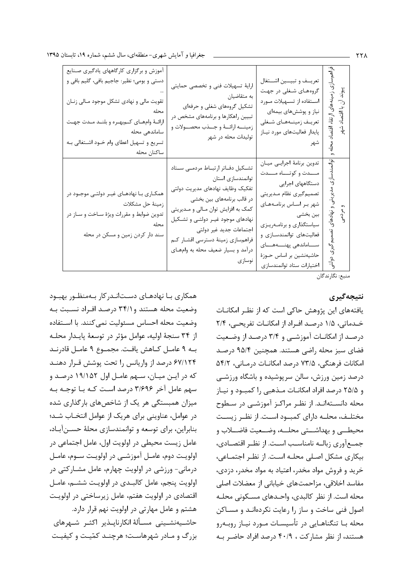| أموزش و برگزاری کارگاههای یادگیری صنایع<br>دستی و بومی؛ نظیر: جاجیم بافی، گلیم بافی و<br>تقویت مالی و نهادی تشکل موجود مـالی زنـان<br>ارائـهٔ وامهـای کـم بهـره و بلنـد مـدت جهـت<br>ساماندهی محله<br>تسریع و تسهیل اعطای وام خــود اشــتغالی بــه<br>ساكنان محله | ارايهٔ تسهيلات فني و تخصصي حمايتي<br>به متقاضیان<br>تشکیل گروههای شغلی و حرفهای<br>تبیین راهکارها و برنامههای مشخص در<br>زمينـــه ارائـــهٔ و جـــذب محصـــولات و<br>تولیدات محله در شهر                                                                                                                       | تعريــف و تبيـــين اشـــتغال<br>گروههای شغلی در جهت<br>استفاده از تسهيلات مورد<br>نیاز و پوششهای بیمهای<br>تعريـف زمينــههـاي شــغلى<br>پایدار فعالیتهای مورد نیاز<br>شهر                                                                                                                               | بازی زو<br>پیوند آن با اقتصاد شهر<br>ارتقاء اقتصاد |
|-------------------------------------------------------------------------------------------------------------------------------------------------------------------------------------------------------------------------------------------------------------------|----------------------------------------------------------------------------------------------------------------------------------------------------------------------------------------------------------------------------------------------------------------------------------------------------------------|---------------------------------------------------------------------------------------------------------------------------------------------------------------------------------------------------------------------------------------------------------------------------------------------------------|----------------------------------------------------|
| همکـاری بـا نهادهـای غیـر دولتـی موجـود در<br>زمينهٔ حل مشكلات<br>تدوین ضوابط و مقررات ویژهٔ سـاخت و سـاز در<br>محله<br>سند دار کردن زمین و مسکن در محله                                                                                                          | تشكيل دفاتر ارتباط مردمى ستاد<br>توانمندسازي استان<br>تفكيك وظايف نهادهاى مديريت دولتى<br>در قالب برنامههای بین بخشی<br>کمک به افزایش توان مـالی و مـدیریتی<br>نهادهای موجود غیـر دولتـی و تشـکیل<br>اجتماعات جديد غير دولتي<br>فراهمسازي زمينة دسترسى اقشار كم<br>درآمد و بسیار ضعیف محله به وامهای<br>نوسازي | تدوين برنامهٔ اجرايــي ميــان<br>مـــدت و کوتــــاه مــــدت<br>  دستگاههای اجرایی<br>تصميم گيري نظام مـديريتي<br>شهر بر اساس برنامههای<br>بین بخشی<br>سیاستگذاری و برنامـهریـزی<br>فعالیتهای توانمندسـازی و<br>ســـــاماندهى پهنـــــههـــــاى<br>حاشیهنشین بر اساس حـوزهٔ<br>اختيارات ستاد توانمندسازى | توانمندسازی مدیریتی و نهادهای<br>$\vec{r}$         |

منبع: نگارندگان

## نتيجەگيرى

یافتههای این پژوهش حاکی است که از نظر امکانـات خـدماتی، ۱/۵ درصـد افـراد از امکانــات تفریحــی، ۲/۴ درصد از امکانات آموزشی و ۳/۴ درصد از وضعیت فضای سبز محله راضی هستند. همچنین ۹۵/۴ درصد امكانات فرهنگي، ٧٣/۵ درصد امكانـات درمـاني، ٥۴/٢ درصد زمین ورزش، سالن سرپوشیده و باشگاه ورزشـی و ۲۵/۵ درصد افراد امکانــات مــذهبي را کمبــود و نيــاز محله دانسـتهانـد. از نظـر مراكـز آموزشـي در سـطوح مختلـف، محلـه داراي كمبـود اسـت. از نظـر زيسـت محيطــي و بهداشـــتي محلــه، وضــعيت فاضـــلاب و جمـع آوري زبالــه نامناسـب اســت. از نظـر اقتصــادي، بیکاری مشکل اصلی محلـه اسـت. از نظـر اجتمـاعی، خريد و فروش مواد مخدر، اعتياد به مواد مخدر، دزدي، مفاسد اخلاقی، مزاحمتهای خیابانی از معضلات اصلی محله است. از نظر كالبدى، واحـدهاى مسـكونى محلـه اصول فنی ساخت و ساز ,ا ,عایت نکردهانـد و مسـاکن محله بــا تنگناهــايي در تأسيســات مــورد نيــاز روبــهرو هستند، از نظر مشارکت ، ۴۰/۹ درصد افراد حاضـر بـه

همکاری بـا نهادهـای دسـتانـدر کار بـهمنظـور بهبـود وضعیت محله هستند و ۳۴/۱ درصد افـراد نسـبت بـه وضعيت محله احساس مسئوليت نمى كنند. با استفاده از ٣۴ سنجة اوليه، عوامل مؤثر در توسعة يايـدار محلـه بـه ٩ عامـل كـاهش يافـت. مجمـوع ٩ عامـل قادرنـد ۶۷/۱۲۴ درصد از واریانس را تحت پوشش قـرار دهنــد که در ایـن میـان، سـهم عامـل اول ۱۹/۱۵۲ درصـد و سهم عامل آخر ۳/۶۹۶ درصد است کـه بـا توجـه بـه میزان همبستگی هر یک از شاخصهای بارگذاری شده در عوامل، عناوینی برای هریک از عوامل انتخـاب شـد؛ بنابراین، برای توسعه و توانمندسازی محلهٔ حسـن آبـاد، عامل زیست محیطی در اولویت اول، عامل اجتماعی در اولويت دوم، عامـل آموزشـي در اولويـت سـوم، عامـل درمانی- ورزشی در اولویت چهارم، عامل مشــارکتی در اولويت پنجم، عامل كالبـدى در اولويـت ششـم، عامـل اقتصادی در اولویت هفتم، عامل زیرساختی در اولویت هشتم و عامل مهارتی در اولویت نهم قرار دارد. حاشـيهنشـيني مسـألهٔ انكارناپــذير اكثــر شــهرهاي بزرگ و مـادر شهرهاسـت؛ هرچنـد کمّیـت و کیفیـت **٢٢٨**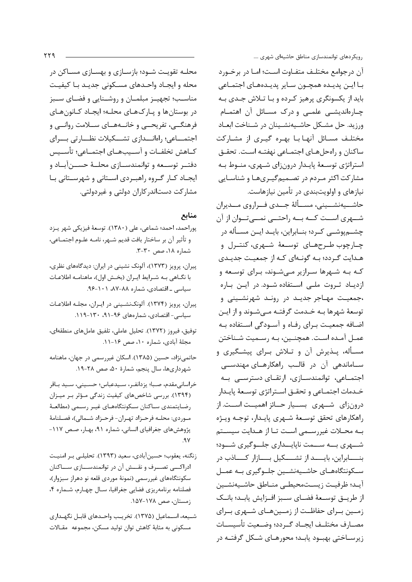محلـه تقویـت شــود؛ بازســازی و بهســازی مســاکن در محله و ایجـاد واحـدهای مسـکونی جدیـد بـا کیفیـت مناسـب؛ تجهيـز مبلمـان و روشــنايي و فضــاي ســبز در بوستانها و پـارکهـای محلـه؛ ایجـاد کـانونهـای فرهنگـــی، تفریحـــی و خانــههــای ســلامت روانــی و اجتمـــاعي؛ راهانـــدازي تشـــكيلات نظـــارتي بـــراي كــاهش تخلفــات و آســيبهــاي اجتمــاعي؛ تأســيس دفتــر توســعه و توانمندســازي محلــهٔ حســن آبــاد و ایجـاد کـار گـروه راهبـردی اسـتانی و شهرسـتانی بـا مشارکت دستاندر کاران دولتی و غیردولتی.

## منابع

- پوراحمد، احمد؛ شماعی، علی (١٣٨٠). توسعهٔ فيزيكي شهر يـزد و تأثير آن بر ساختار بافت قديم شــهر، نامــه علــوم اجتمــاعي، شماره ۱۸، صص ۳۰-۳.
- پیران، پرویز (۱۳۷۳)، آلونک نشینی در ایران: دیدگاههای نظری، با نگـاهي بـه شـرايط ايـران (بخـش اول)، ماهنامـه اطلاعـات سیاسی \_ اقتصادی، شماره ۸۸-۸۷، ۰۱-۹۶.
- پیران، پرویز (۱۳۷۴). آلونکنشینی در ایـران، مجلـه اطلاعـات سیاسی- اقتصادی، شمارههای ۹۶-۹۱، ۱۳۰-۱۱۹.
- توفيق، فيروز (١٣٧٢). تحليل عاملي، تلفيق عاملهاي منطقهاي، مجلهٔ آبادی، شماره ۱۰، صص ۱۶-۱۱.
- حاتمی نژاد، حسین (۱۳۸۵). اسکان غیررسمی در جهان، ماهنامه شهرداریها، سال پنجم، شمارهٔ ۵۰، صص ۲۸-۱۹.
- خراساني مقدم، صبا؛ يزدانفـر، سـيدعباس؛ حسـيني، سـيد بـاقر (۱۳۹۴). بررسی شاخصهای کیفیت زندگی مؤثر بر میزان رضايتمندي سـاكنان سـكونتگاههـاي غيـر رسـمى (مطالعـهٔ مـوردي: محلــه فرحـزاد تهـران- فرحـزاد شــمالي)، فصــلنامهٔ پژوهشهای جغرافیای انسانی، شماره ۹۱، بهـار، صـص ۱۱۷- $.9V$
- زنگنه، يعقوب؛ حسين آبادي، سعيد (١٣٩٣). تحليلـي بـر امنيـت ادراکــــی تصــــرف و نقـــش آن در توانمندســــازی ســــاکنان سکونتگاههای غیررسمی (نمونهٔ موردی قلعه نو دهراز سبزوار)، فصلنامه برنامهريزي فضايي جغرافيا، سـال چهـارم، شـماره ۴، زمستان، صص ۱۷۸-۱۵۷.
- شـيعه، اسـماعيل (١٣٧۵). تخريـب واحـدهاي قابـل نگهـداري مسکونی به مثابهٔ کاهش توان تولید مسکن، مجموعه مقـالات

رویکردهای توانمندسازی مناطق حاشیهای شهری ….

آن درجوامع مختلـف متفــاوت اســت؛ امــا در برخــورد با اين پديده همچون ساير پديدههاي اجتماعي باید از یکسونگری پرهیز کـرده و بـا تـلاش جـدی بـه چارهاندیشی علمی و درک مسائل آن اهتمام ورزيد. حل مشـكل حاشـيهنشـينان در شـناخت ابعـاد مختلـف مسـائل آنهـا بـا بهـره گيـرى از مشـاركت ساكنان و رامحلهای اجتمـاعی نهفتـه اسـت. تحقـق استراتژی توسـعهٔ پایـدار درون;ای شـهری، منـوط بـه مشارکت اکثر میردم در تصیمهگیریها و شناسایی نیازهای و اولویتبندی در تأمین نیازهاست.

حاشـــيەنشـــينى، مســـألهٔ جـــدى فـــراروي مـــديران شــهري اســت كــه بــه راحتــي نمــيتــوان از آن چشــمپوشــی کــرد؛ بنــابراین، بایــد ایــن مســأله در چـارچوب طـرحهـای توسـعهٔ شـهری، کنتـرل و هـدايت گـردد؛ بـه گونـهاي كـه از جمعيـت جديـدي کـه بـه شـهرها سـرازیر مـیشـوند، بـرای توسـعه و ازدیاد ثروت ملی استفاده شود. در این باره ،جمعیت مهاجر جدیـد در رونـد شهرنشـینی و توسعهٔ شهرها بـه خـدمت گرفتـه مـیشـوند و از ایـن اضافه جمعیت برای رفاه و آسودگی استفاده به عمـل آمـده اسـت. همچنـین، بـه رسـمیت شـناختن مسـأله، پـذیرش آن و تـلاش بـرای پیشـگیری و سـاماندهی آن در قالـب راهکارهـای مهندســی اجتمــاعی، توانمندســازی، ارتقــای دسترســی بــه خـدمات اجتمـاعي و تحقــق اســتراتژي توسـعهٔ پايــدار درونزای شـهری بســیار حــائز اهمیــت اســت. از راهكارهاي تحقق توسعة شهرى پايىدار، توجـه ويـژه بـه محـلات غيررسـمى اسـت تـا از هـدايت سيسـتم شــهری بــه ســمت ناپایــداری جلــوگیری شــود؛ بنـــــابراین، بایـــــد از تشـــــکیل بـــــازار کـــــاذب در ســکونتگاههــای حاشــیهنشــین جلــوگیری بــه عمــل آيـد؛ ظرفيـت زيسـتمحيطـي منـاطق حاشـيهنشـين از طريــق توســعهٔ فضــاي ســبز افــزايش يابــد؛ بانــك زمــین بــرای حفاظــت از زمــینهــای شــهری بــرای مصـارف مختلــف ايجــاد گــردد؛ وضــعيت تأسيســات زیرسـاختی بهبــود یابــد؛ محورهــای شــکل گرفتــه در